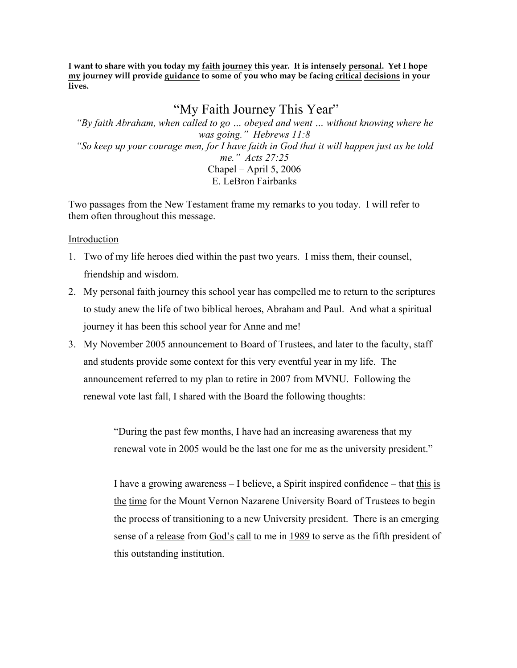**I want to share with you today my faith journey this year. It is intensely personal. Yet I hope my journey will provide guidance to some of you who may be facing critical decisions in your lives.** 

## "My Faith Journey This Year"

*"By faith Abraham, when called to go … obeyed and went … without knowing where he was going." Hebrews 11:8 "So keep up your courage men, for I have faith in God that it will happen just as he told me." Acts 27:25*  Chapel – April 5, 2006 E. LeBron Fairbanks

Two passages from the New Testament frame my remarks to you today. I will refer to them often throughout this message.

#### Introduction

- 1. Two of my life heroes died within the past two years. I miss them, their counsel, friendship and wisdom.
- 2. My personal faith journey this school year has compelled me to return to the scriptures to study anew the life of two biblical heroes, Abraham and Paul. And what a spiritual journey it has been this school year for Anne and me!
- 3. My November 2005 announcement to Board of Trustees, and later to the faculty, staff and students provide some context for this very eventful year in my life. The announcement referred to my plan to retire in 2007 from MVNU. Following the renewal vote last fall, I shared with the Board the following thoughts:

"During the past few months, I have had an increasing awareness that my renewal vote in 2005 would be the last one for me as the university president."

I have a growing awareness  $-1$  believe, a Spirit inspired confidence  $-$  that this is the time for the Mount Vernon Nazarene University Board of Trustees to begin the process of transitioning to a new University president. There is an emerging sense of a <u>release</u> from God's call to me in 1989 to serve as the fifth president of this outstanding institution.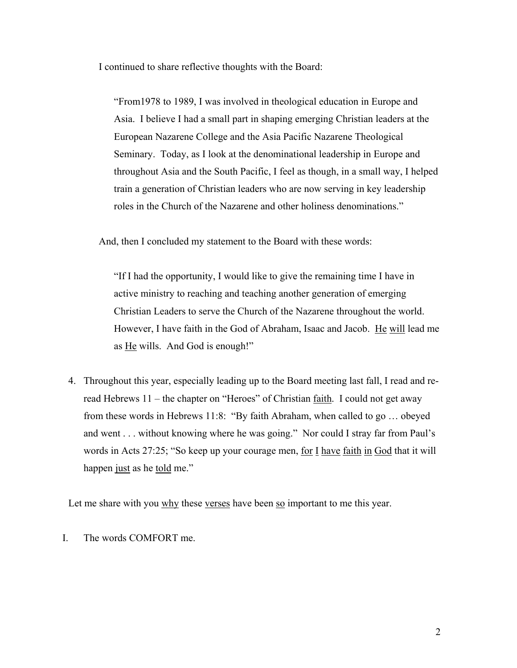I continued to share reflective thoughts with the Board:

"From1978 to 1989, I was involved in theological education in Europe and Asia. I believe I had a small part in shaping emerging Christian leaders at the European Nazarene College and the Asia Pacific Nazarene Theological Seminary. Today, as I look at the denominational leadership in Europe and throughout Asia and the South Pacific, I feel as though, in a small way, I helped train a generation of Christian leaders who are now serving in key leadership roles in the Church of the Nazarene and other holiness denominations."

And, then I concluded my statement to the Board with these words:

"If I had the opportunity, I would like to give the remaining time I have in active ministry to reaching and teaching another generation of emerging Christian Leaders to serve the Church of the Nazarene throughout the world. However, I have faith in the God of Abraham, Isaac and Jacob. He will lead me as He wills. And God is enough!"

4. Throughout this year, especially leading up to the Board meeting last fall, I read and reread Hebrews 11 – the chapter on "Heroes" of Christian <u>faith</u>. I could not get away from these words in Hebrews 11:8: "By faith Abraham, when called to go … obeyed and went . . . without knowing where he was going." Nor could I stray far from Paul's words in Acts 27:25; "So keep up your courage men, <u>for I have faith in God</u> that it will happen just as he told me."

Let me share with you why these verses have been so important to me this year.

I. The words COMFORT me.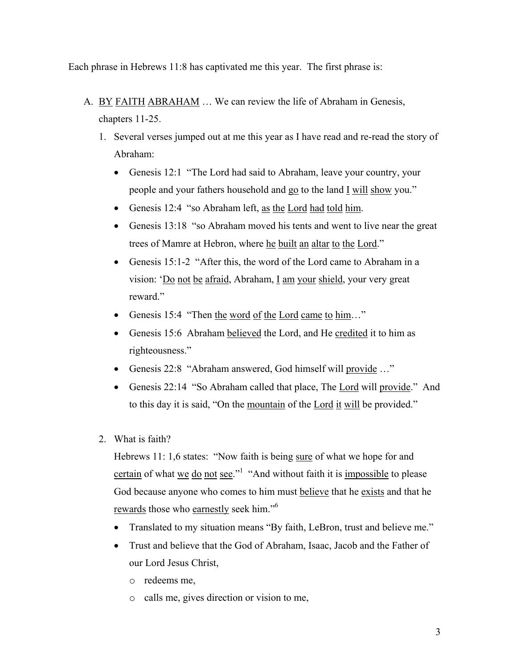Each phrase in Hebrews 11:8 has captivated me this year. The first phrase is:

- A. BY FAITH ABRAHAM ... We can review the life of Abraham in Genesis, chapters 11-25.
	- 1. Several verses jumped out at me this year as I have read and re-read the story of Abraham:
		- Genesis 12:1 "The Lord had said to Abraham, leave your country, your people and your fathers household and go to the land I will show you."
		- Genesis 12:4 "so Abraham left, as the Lord had told him.
		- Genesis 13:18 "so Abraham moved his tents and went to live near the great trees of Mamre at Hebron, where he built an altar to the Lord."
		- Genesis 15:1-2 "After this, the word of the Lord came to Abraham in a vision: 'Do not be afraid, Abraham, I am your shield, your very great reward."
		- Genesis 15:4 "Then the word of the Lord came to him..."
		- Genesis 15:6 Abraham believed the Lord, and He credited it to him as righteousness."
		- Genesis 22:8 "Abraham answered, God himself will provide ..."
		- Genesis 22:14 "So Abraham called that place, The Lord will provide." And to this day it is said, "On the mountain of the Lord it will be provided."
	- 2. What is faith?

Hebrews 11: 1,6 states: "Now faith is being sure of what we hope for and certain of what we do not see."<sup>1</sup> "And without faith it is impossible to please God because anyone who comes to him must believe that he exists and that he rewards those who earnestly seek him."<sup>6</sup>

- Translated to my situation means "By faith, LeBron, trust and believe me."
- Trust and believe that the God of Abraham, Isaac, Jacob and the Father of our Lord Jesus Christ,
	- o redeems me,
	- o calls me, gives direction or vision to me,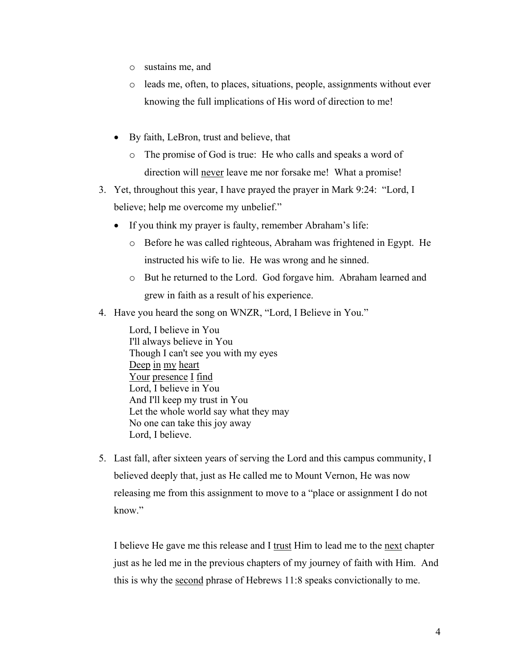- o sustains me, and
- o leads me, often, to places, situations, people, assignments without ever knowing the full implications of His word of direction to me!
- By faith, LeBron, trust and believe, that
	- o The promise of God is true: He who calls and speaks a word of direction will never leave me nor forsake me! What a promise!
- 3. Yet, throughout this year, I have prayed the prayer in Mark 9:24: "Lord, I believe; help me overcome my unbelief."
	- If you think my prayer is faulty, remember Abraham's life:
		- o Before he was called righteous, Abraham was frightened in Egypt. He instructed his wife to lie. He was wrong and he sinned.
		- o But he returned to the Lord. God forgave him. Abraham learned and grew in faith as a result of his experience.
- 4. Have you heard the song on WNZR, "Lord, I Believe in You."

Lord, I believe in You I'll always believe in You Though I can't see you with my eyes Deep in my heart Your presence I find Lord, I believe in You And I'll keep my trust in You Let the whole world say what they may No one can take this joy away Lord, I believe.

5. Last fall, after sixteen years of serving the Lord and this campus community, I believed deeply that, just as He called me to Mount Vernon, He was now releasing me from this assignment to move to a "place or assignment I do not know."

I believe He gave me this release and I trust Him to lead me to the next chapter just as he led me in the previous chapters of my journey of faith with Him. And this is why the second phrase of Hebrews 11:8 speaks convictionally to me.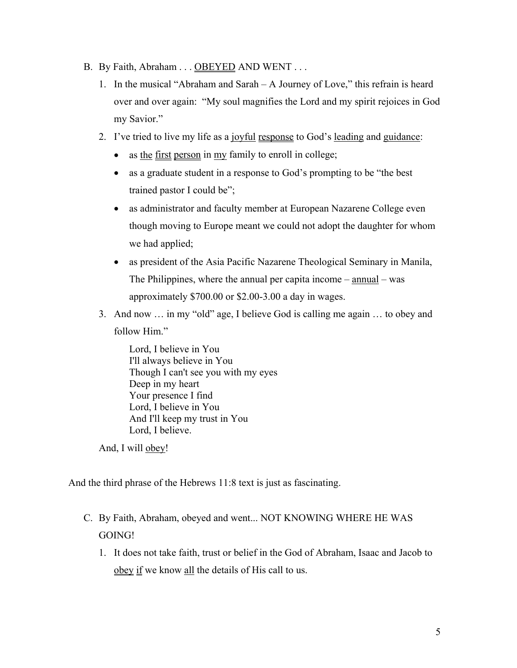- B. By Faith, Abraham . . . OBEYED AND WENT . . .
	- 1. In the musical "Abraham and Sarah A Journey of Love," this refrain is heard over and over again: "My soul magnifies the Lord and my spirit rejoices in God my Savior."
	- 2. I've tried to live my life as a joyful response to God's leading and guidance:
		- as the first person in my family to enroll in college;
		- as a graduate student in a response to God's prompting to be "the best" trained pastor I could be";
		- as administrator and faculty member at European Nazarene College even though moving to Europe meant we could not adopt the daughter for whom we had applied;
		- as president of the Asia Pacific Nazarene Theological Seminary in Manila, The Philippines, where the annual per capita income – annual – was approximately \$700.00 or \$2.00-3.00 a day in wages.
	- 3. And now … in my "old" age, I believe God is calling me again … to obey and follow Him."

Lord, I believe in You I'll always believe in You Though I can't see you with my eyes Deep in my heart Your presence I find Lord, I believe in You And I'll keep my trust in You Lord, I believe.

And, I will obey!

And the third phrase of the Hebrews 11:8 text is just as fascinating.

# C. By Faith, Abraham, obeyed and went... NOT KNOWING WHERE HE WAS GOING!

1. It does not take faith, trust or belief in the God of Abraham, Isaac and Jacob to obey if we know all the details of His call to us.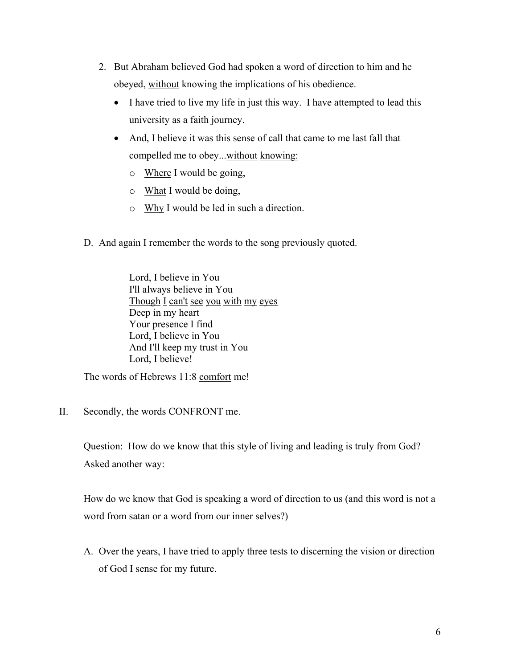- 2. But Abraham believed God had spoken a word of direction to him and he obeyed, without knowing the implications of his obedience.
	- I have tried to live my life in just this way. I have attempted to lead this university as a faith journey.
	- And, I believe it was this sense of call that came to me last fall that compelled me to obey...without knowing:
		- o Where I would be going,
		- o What I would be doing,
		- o Why I would be led in such a direction.
- D. And again I remember the words to the song previously quoted.

Lord, I believe in You I'll always believe in You Though I can't see you with my eyes Deep in my heart Your presence I find Lord, I believe in You And I'll keep my trust in You Lord, I believe!

The words of Hebrews 11:8 comfort me!

II. Secondly, the words CONFRONT me.

Question: How do we know that this style of living and leading is truly from God? Asked another way:

How do we know that God is speaking a word of direction to us (and this word is not a word from satan or a word from our inner selves?)

A. Over the years, I have tried to apply three tests to discerning the vision or direction of God I sense for my future.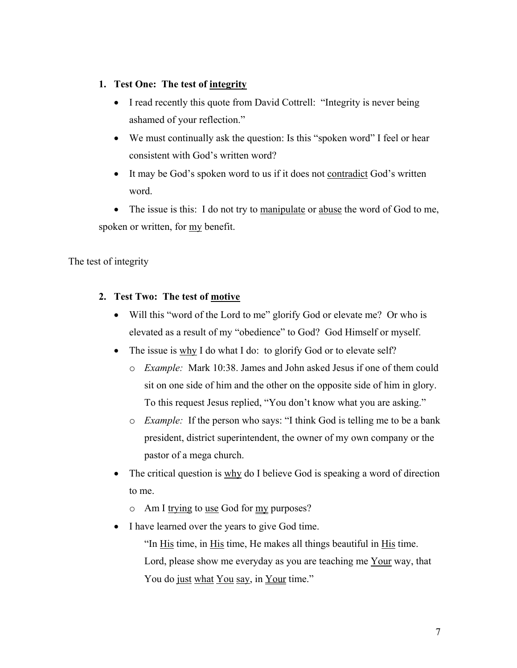#### **1. Test One: The test of integrity**

- I read recently this quote from David Cottrell: "Integrity is never being ashamed of your reflection."
- We must continually ask the question: Is this "spoken word" I feel or hear consistent with God's written word?
- It may be God's spoken word to us if it does not contradict God's written word.

• The issue is this: I do not try to manipulate or abuse the word of God to me, spoken or written, for my benefit.

The test of integrity

#### **2. Test Two: The test of motive**

- Will this "word of the Lord to me" glorify God or elevate me? Or who is elevated as a result of my "obedience" to God? God Himself or myself.
- The issue is why I do what I do: to glorify God or to elevate self?
	- o *Example:* Mark 10:38. James and John asked Jesus if one of them could sit on one side of him and the other on the opposite side of him in glory. To this request Jesus replied, "You don't know what you are asking."
	- o *Example:* If the person who says: "I think God is telling me to be a bank president, district superintendent, the owner of my own company or the pastor of a mega church.
- The critical question is why do I believe God is speaking a word of direction to me.
	- o Am I trying to use God for my purposes?
- I have learned over the years to give God time.

"In His time, in His time, He makes all things beautiful in His time. Lord, please show me everyday as you are teaching me Your way, that You do just what You say, in Your time."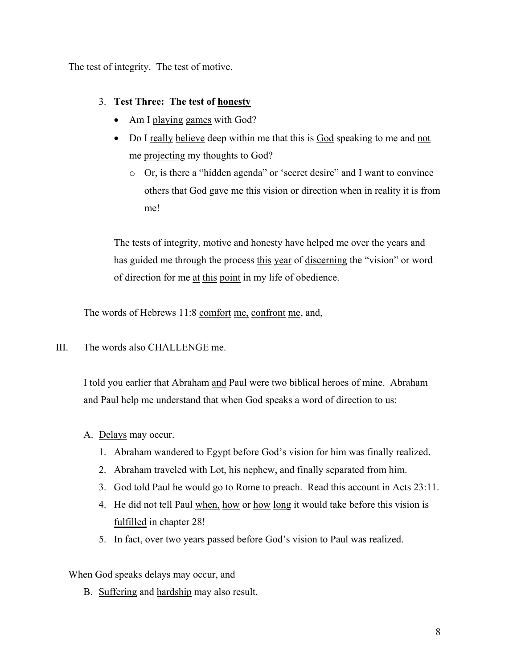The test of integrity. The test of motive.

### 3. **Test Three: The test of honesty**

- Am I playing games with God?
- Do I really believe deep within me that this is God speaking to me and not me projecting my thoughts to God?
	- o Or, is there a "hidden agenda" or 'secret desire" and I want to convince others that God gave me this vision or direction when in reality it is from me!

The tests of integrity, motive and honesty have helped me over the years and has guided me through the process this year of discerning the "vision" or word of direction for me at this point in my life of obedience.

The words of Hebrews 11:8 comfort me, confront me, and,

III. The words also CHALLENGE me.

I told you earlier that Abraham and Paul were two biblical heroes of mine. Abraham and Paul help me understand that when God speaks a word of direction to us:

- A. Delays may occur.
	- 1. Abraham wandered to Egypt before God's vision for him was finally realized.
	- 2. Abraham traveled with Lot, his nephew, and finally separated from him.
	- 3. God told Paul he would go to Rome to preach. Read this account in Acts 23:11.
	- 4. He did not tell Paul when, how or how long it would take before this vision is fulfilled in chapter 28!
	- 5. In fact, over two years passed before God's vision to Paul was realized.

When God speaks delays may occur, and

B. Suffering and hardship may also result.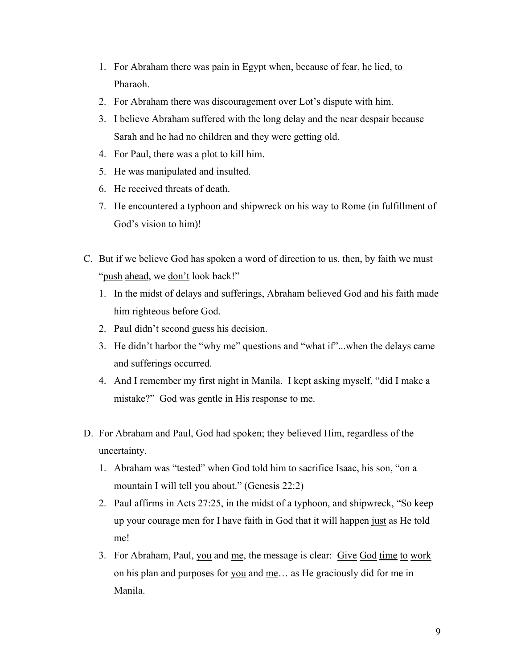- 1. For Abraham there was pain in Egypt when, because of fear, he lied, to Pharaoh.
- 2. For Abraham there was discouragement over Lot's dispute with him.
- 3. I believe Abraham suffered with the long delay and the near despair because Sarah and he had no children and they were getting old.
- 4. For Paul, there was a plot to kill him.
- 5. He was manipulated and insulted.
- 6. He received threats of death.
- 7. He encountered a typhoon and shipwreck on his way to Rome (in fulfillment of God's vision to him)!
- C. But if we believe God has spoken a word of direction to us, then, by faith we must "push ahead, we don't look back!"
	- 1. In the midst of delays and sufferings, Abraham believed God and his faith made him righteous before God.
	- 2. Paul didn't second guess his decision.
	- 3. He didn't harbor the "why me" questions and "what if"...when the delays came and sufferings occurred.
	- 4. And I remember my first night in Manila. I kept asking myself, "did I make a mistake?" God was gentle in His response to me.
- D. For Abraham and Paul, God had spoken; they believed Him, regardless of the uncertainty.
	- 1. Abraham was "tested" when God told him to sacrifice Isaac, his son, "on a mountain I will tell you about." (Genesis 22:2)
	- 2. Paul affirms in Acts 27:25, in the midst of a typhoon, and shipwreck, "So keep up your courage men for I have faith in God that it will happen just as He told me!
	- 3. For Abraham, Paul, you and me, the message is clear: Give God time to work on his plan and purposes for you and me… as He graciously did for me in Manila.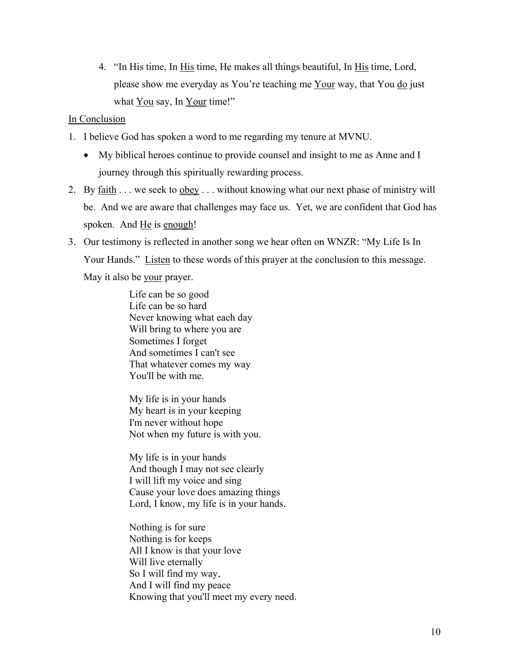4. "In His time, In His time, He makes all things beautiful, In His time, Lord, please show me everyday as You're teaching me Your way, that You do just what You say, In Your time!"

In Conclusion

- 1. I believe God has spoken a word to me regarding my tenure at MVNU.
	- My biblical heroes continue to provide counsel and insight to me as Anne and I journey through this spiritually rewarding process.
- 2. By  $f$ <u>aith</u> . . . we seek to <u>obey</u> . . . without knowing what our next phase of ministry will be. And we are aware that challenges may face us. Yet, we are confident that God has spoken. And He is enough!
- 3. Our testimony is reflected in another song we hear often on WNZR: "My Life Is In Your Hands." Listen to these words of this prayer at the conclusion to this message. May it also be your prayer.

Life can be so good Life can be so hard Never knowing what each day Will bring to where you are Sometimes I forget And sometimes I can't see That whatever comes my way You'll be with me.

My life is in your hands My heart is in your keeping I'm never without hope Not when my future is with you.

My life is in your hands And though I may not see clearly I will lift my voice and sing Cause your love does amazing things Lord, I know, my life is in your hands.

Nothing is for sure Nothing is for keeps All I know is that your love Will live eternally So I will find my way, And I will find my peace Knowing that you'll meet my every need.